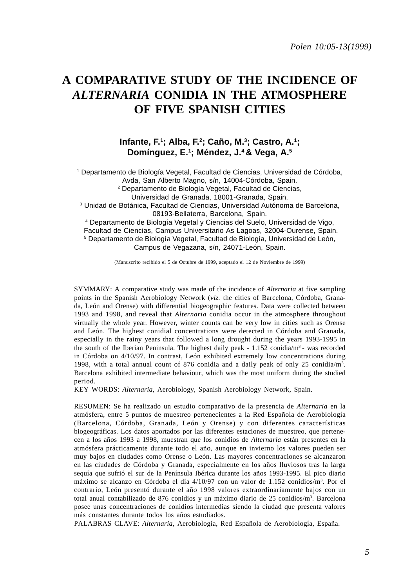# **A COMPARATIVE STUDY OF THE INCIDENCE OF** *ALTERNARIA* **CONIDIA IN THE ATMOSPHERE OF FIVE SPANISH CITIES**

## **Infante, F.1 ; Alba, F.2 ; Caño, M.3; Castro, A.1 ; Domínguez, E.1 ; Méndez, J.4 & Vega, A.5**

1 Departamento de Biología Vegetal, Facultad de Ciencias, Universidad de Córdoba, Avda, San Alberto Magno, s/n, 14004-Córdoba, Spain. 2 Departamento de Biología Vegetal, Facultad de Ciencias, Universidad de Granada, 18001-Granada, Spain. 3 Unidad de Botánica, Facultad de Ciencias, Universidad Autónoma de Barcelona, 08193-Bellaterra, Barcelona, Spain. 4 Departamento de Biología Vegetal y Ciencias del Suelo, Universidad de Vigo, Facultad de Ciencias, Campus Universitario As Lagoas, 32004-Ourense, Spain. 5 Departamento de Biología Vegetal, Facultad de Biología, Universidad de León,

Campus de Vegazana, s/n, 24071-León, Spain.

(Manuscrito recibido el 5 de Octubre de 1999, aceptado el 12 de Noviembre de 1999)

SYMMARY: A comparative study was made of the incidence of *Alternaria* at five sampling points in the Spanish Aerobiology Network (*viz.* the cities of Barcelona, Córdoba, Granada, León and Orense) with differential biogeographic features. Data were collected between 1993 and 1998, and reveal that *Alternaria* conidia occur in the atmosphere throughout virtually the whole year. However, winter counts can be very low in cities such as Orense and León. The highest conidial concentrations were detected in Córdoba and Granada, especially in the rainy years that followed a long drought during the years 1993-1995 in the south of the Iberian Peninsula. The highest daily peak -  $1.152$  conidia/m<sup>3</sup> - was recorded in Córdoba on 4/10/97. In contrast, León exhibited extremely low concentrations during 1998, with a total annual count of 876 conidia and a daily peak of only 25 conidia/m3 . Barcelona exhibited intermediate behaviour, which was the most uniform during the studied period.

KEY WORDS: *Alternaria*, Aerobiology, Spanish Aerobiology Network, Spain.

RESUMEN: Se ha realizado un estudio comparativo de la presencia de *Alternaria* en la atmósfera, entre 5 puntos de muestreo pertenecientes a la Red Española de Aerobiología (Barcelona, Córdoba, Granada, León y Orense) y con diferentes características biogeográficas. Los datos aportados por las diferentes estaciones de muestreo, que pertenecen a los años 1993 a 1998, muestran que los conidios de *Alternaria* están presentes en la atmósfera prácticamente durante todo el año, aunque en invierno los valores pueden ser muy bajos en ciudades como Orense o León. Las mayores concentraciones se alcanzaron en las ciudades de Córdoba y Granada, especialmente en los años lluviosos tras la larga sequía que sufrió el sur de la Península Ibérica durante los años 1993-1995. El pico diario máximo se alcanzo en Córdoba el día 4/10/97 con un valor de 1.152 conidios/m3 . Por el contrario, León presentó durante el año 1998 valores extraordinariamente bajos con un total anual contabilizado de 876 conidios y un máximo diario de 25 conidios/m<sup>3</sup>. Barcelona posee unas concentraciones de conidios intermedias siendo la ciudad que presenta valores más constantes durante todos los años estudiados.

PALABRAS CLAVE: *Alternaria*, Aerobiología, Red Española de Aerobiología, España.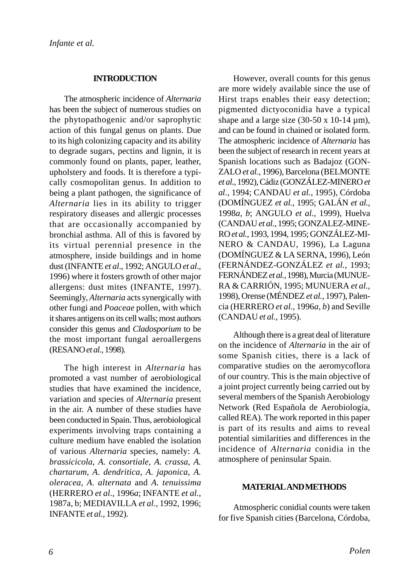#### **INTRODUCTION**

The atmospheric incidence of *Alternaria* has been the subject of numerous studies on the phytopathogenic and/or saprophytic action of this fungal genus on plants. Due to its high colonizing capacity and its ability to degrade sugars, pectins and lignin, it is commonly found on plants, paper, leather, upholstery and foods. It is therefore a typically cosmopolitan genus. In addition to being a plant pathogen, the significance of *Alternaria* lies in its ability to trigger respiratory diseases and allergic processes that are occasionally accompanied by bronchial asthma. All of this is favored by its virtual perennial presence in the atmosphere, inside buildings and in home dust (INFANTE *et al*., 1992; ANGULO *et al*., 1996) where it fosters growth of other major allergens: dust mites (INFANTE, 1997). Seemingly, *Alternaria* acts synergically with other fungi and *Poaceae* pollen, with which it shares antigens on its cell walls; most authors consider this genus and *Cladosporium* to be the most important fungal aeroallergens (RESANO *et al.,* 1998).

The high interest in *Alternaria* has promoted a vast number of aerobiological studies that have examined the incidence, variation and species of *Alternaria* present in the air. A number of these studies have been conducted in Spain. Thus, aerobiological experiments involving traps containing a culture medium have enabled the isolation of various *Alternaria* species, namely: *A. brassicicola*, *A. consortiale*, *A. crassa*, *A. chartarum*, *A. dendritica*, *A. japonica*, *A. oleracea*, *A. alternata* and *A. tenuissima* (HERRERO *et al.,* 1996*a*; INFANTE *et al.,* 1987a, b; MEDIAVILLA *et al.,* 1992, 1996; INFANTE *et al.,* 1992).

However, overall counts for this genus are more widely available since the use of Hirst traps enables their easy detection; pigmented dictyoconidia have a typical shape and a large size  $(30-50 \times 10-14 \,\mu m)$ , and can be found in chained or isolated form. The atmospheric incidence of *Alternaria* has been the subject of research in recent years at Spanish locations such as Badajoz (GON-ZALO *et al.,* 1996), Barcelona (BELMONTE *et al.,* 1992), Cádiz (GONZÁLEZ-MINERO *et al.,* 1994; CANDAU *et al.,* 1995), Córdoba (DOMÍNGUEZ *et al.,* 1995; GALÁN *et al.,* 1998*a*, *b*; ANGULO *et al.,* 1999), Huelva (CANDAU *et al.,* 1995; GONZALEZ-MINE-RO *et al.,* 1993, 1994, 1995; GONZÁLEZ-MI-NERO & CANDAU, 1996), La Laguna (DOMÍNGUEZ & LA SERNA, 1996), León (FERNÁNDEZ-GONZÁLEZ *et al.,* 1993; FERNÁNDEZ *et al.,* 1998), Murcia (MUNUE-RA & CARRIÓN, 1995; MUNUERA *et al.,* 1998), Orense (MÉNDEZ *et al.,* 1997), Palencia (HERRERO *et al.,* 1996*a*, *b*) and Seville (CANDAU *et al.,* 1995).

Although there is a great deal of literature on the incidence of *Alternaria* in the air of some Spanish cities, there is a lack of comparative studies on the aeromycoflora of our country. This is the main objective of a joint project currently being carried out by several members of the Spanish Aerobiology Network (Red Española de Aerobiología, called REA). The work reported in this paper is part of its results and aims to reveal potential similarities and differences in the incidence of *Alternaria* conidia in the atmosphere of peninsular Spain.

#### **MATERIAL AND METHODS**

Atmospheric conidial counts were taken for five Spanish cities (Barcelona, Córdoba,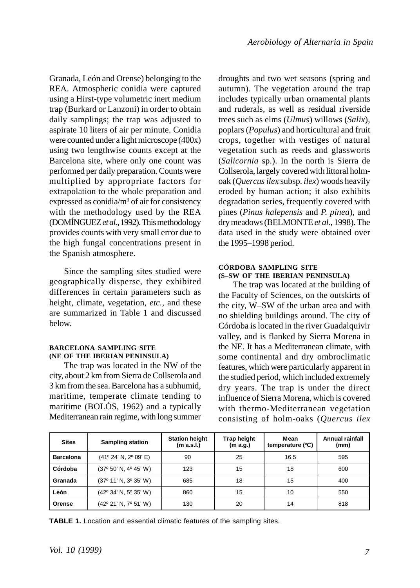Granada, León and Orense) belonging to the REA. Atmospheric conidia were captured using a Hirst-type volumetric inert medium trap (Burkard or Lanzoni) in order to obtain daily samplings; the trap was adjusted to aspirate 10 liters of air per minute. Conidia were counted under a light microscope (400x) using two lengthwise counts except at the Barcelona site, where only one count was performed per daily preparation. Counts were multiplied by appropriate factors for extrapolation to the whole preparation and expressed as conidia/m<sup>3</sup> of air for consistency with the methodology used by the REA (DOMÍNGUEZ *et al.,* 1992). This methodology provides counts with very small error due to the high fungal concentrations present in the Spanish atmosphere.

Since the sampling sites studied were geographically disperse, they exhibited differences in certain parameters such as height, climate, vegetation, *etc.,* and these are summarized in Table 1 and discussed below.

#### **BARCELONA SAMPLING SITE (NE OF THE IBERIAN PENINSULA)**

The trap was located in the NW of the city, about 2 km from Sierra de Collserola and 3 km from the sea. Barcelona has a subhumid, maritime, temperate climate tending to maritime (BOLÓS, 1962) and a typically Mediterranean rain regime, with long summer droughts and two wet seasons (spring and autumn). The vegetation around the trap includes typically urban ornamental plants and ruderals, as well as residual riverside trees such as elms (*Ulmus*) willows (*Salix*), poplars (*Populus*) and horticultural and fruit crops, together with vestiges of natural vegetation such as reeds and glassworts (*Salicornia* sp.). In the north is Sierra de Collserola, largely covered with littoral holmoak (*Quercus ilex* subsp. *ilex*) woods heavily eroded by human action; it also exhibits degradation series, frequently covered with pines (*Pinus halepensis* and *P. pinea*), and dry meadows (BELMONTE *et al.,* 1998). The data used in the study were obtained over the 1995–1998 period.

## **CÓRDOBA SAMPLING SITE (S–SW OF THE IBERIAN PENINSULA)**

The trap was located at the building of the Faculty of Sciences, on the outskirts of the city, W–SW of the urban area and with no shielding buildings around. The city of Córdoba is located in the river Guadalquivir valley, and is flanked by Sierra Morena in the NE. It has a Mediterranean climate, with some continental and dry ombroclimatic features, which were particularly apparent in the studied period, which included extremely dry years. The trap is under the direct influence of Sierra Morena, which is covered with thermo-Mediterranean vegetation consisting of holm-oaks (*Quercus ilex*

| <b>Sites</b>     | <b>Sampling station</b>               | <b>Station height</b><br>(m a.s.l.) | <b>Trap height</b><br>(m a.g.) | Mean<br>temperature (°C) | Annual rainfall<br>(mm) |  |
|------------------|---------------------------------------|-------------------------------------|--------------------------------|--------------------------|-------------------------|--|
| <b>Barcelona</b> | $(41^{\circ} 24' N, 2^{\circ} 09' E)$ | 90                                  | 25                             | 16.5                     | 595                     |  |
| Córdoba          | (37º 50' N, 4º 45' W)                 | 123                                 | 15                             | 18                       | 600                     |  |
| Granada          | (37° 11' N, 3° 35' W)                 | 685                                 | 18                             | 15                       | 400                     |  |
| León             | (42° 34' N, 5° 35' W)                 | 860                                 | 15                             | 10                       | 550                     |  |
| Orense           | (42° 21' N, 7° 51' W)                 | 130                                 | 20                             | 14                       | 818                     |  |

**TABLE 1.** Location and essential climatic features of the sampling sites.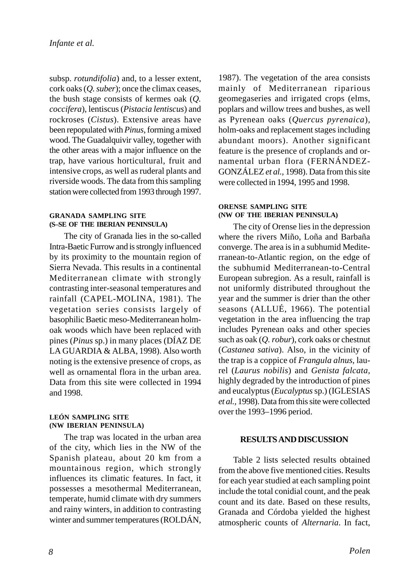subsp. *rotundifolia*) and, to a lesser extent, cork oaks (*Q. suber*); once the climax ceases, the bush stage consists of kermes oak (*Q. coccifera*), lentiscus (*Pistacia lentiscus*) and rockroses (*Cistus*). Extensive areas have been repopulated with *Pinus*, forming a mixed wood. The Guadalquivir valley, together with the other areas with a major influence on the trap, have various horticultural, fruit and intensive crops, as well as ruderal plants and riverside woods. The data from this sampling station were collected from 1993 through 1997.

## **GRANADA SAMPLING SITE (S–SE OF THE IBERIAN PENINSULA)**

The city of Granada lies in the so-called Intra-Baetic Furrow and is strongly influenced by its proximity to the mountain region of Sierra Nevada. This results in a continental Mediterranean climate with strongly contrasting inter-seasonal temperatures and rainfall (CAPEL-MOLINA, 1981). The vegetation series consists largely of basophilic Baetic meso-Mediterranean holmoak woods which have been replaced with pines (*Pinus* sp.) in many places (DÍAZ DE LA GUARDIA & ALBA, 1998). Also worth noting is the extensive presence of crops, as well as ornamental flora in the urban area. Data from this site were collected in 1994 and 1998.

#### **LEÓN SAMPLING SITE (NW IBERIAN PENINSULA)**

The trap was located in the urban area of the city, which lies in the NW of the Spanish plateau, about 20 km from a mountainous region, which strongly influences its climatic features. In fact, it possesses a mesothermal Mediterranean, temperate, humid climate with dry summers and rainy winters, in addition to contrasting winter and summer temperatures (ROLDÁN,

1987). The vegetation of the area consists mainly of Mediterranean riparious geomegaseries and irrigated crops (elms, poplars and willow trees and bushes, as well as Pyrenean oaks (*Quercus pyrenaica*), holm-oaks and replacement stages including abundant moors). Another significant feature is the presence of croplands and ornamental urban flora (FERNÁNDEZ-GONZÁLEZ *et al.,* 1998). Data from this site were collected in 1994, 1995 and 1998.

#### **ORENSE SAMPLING SITE (NW OF THE IBERIAN PENINSULA)**

The city of Orense lies in the depression where the rivers Miño, Loña and Barbaña converge. The area is in a subhumid Mediterranean-to-Atlantic region, on the edge of the subhumid Mediterranean-to-Central European subregion. As a result, rainfall is not uniformly distributed throughout the year and the summer is drier than the other seasons (ALLUÉ, 1966). The potential vegetation in the area influencing the trap includes Pyrenean oaks and other species such as oak (*Q. robur*), cork oaks or chestnut (*Castanea sativa*). Also, in the vicinity of the trap is a coppice of *Frangula alnus*, laurel (*Laurus nobilis*) and *Genista falcata*, highly degraded by the introduction of pines and eucalyptus (*Eucalyptus* sp.) (IGLESIAS *et al.,* 1998). Data from this site were collected over the 1993–1996 period.

# **RESULTS AND DISCUSSION**

Table 2 lists selected results obtained from the above five mentioned cities. Results for each year studied at each sampling point include the total conidial count, and the peak count and its date. Based on these results, Granada and Córdoba yielded the highest atmospheric counts of *Alternaria*. In fact,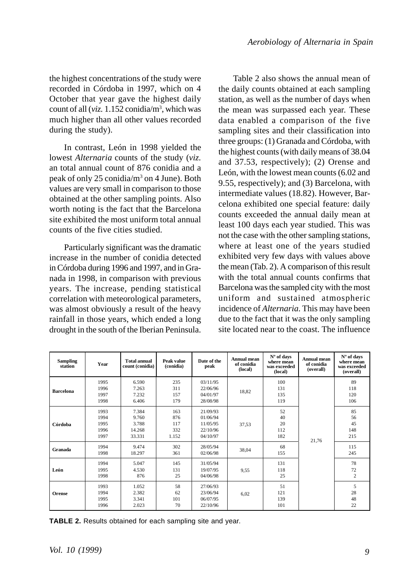the highest concentrations of the study were recorded in Córdoba in 1997, which on 4 October that year gave the highest daily count of all (*viz.* 1.152 conidia/m3 , which was much higher than all other values recorded during the study).

In contrast, León in 1998 yielded the lowest *Alternaria* counts of the study (*viz.* an total annual count of 876 conidia and a peak of only 25 conidia/m<sup>3</sup> on 4 June). Both values are very small in comparison to those obtained at the other sampling points. Also worth noting is the fact that the Barcelona site exhibited the most uniform total annual counts of the five cities studied.

Particularly significant was the dramatic increase in the number of conidia detected in Córdoba during 1996 and 1997, and in Granada in 1998, in comparison with previous years. The increase, pending statistical correlation with meteorological parameters, was almost obviously a result of the heavy rainfall in those years, which ended a long drought in the south of the Iberian Peninsula.

Table 2 also shows the annual mean of the daily counts obtained at each sampling station, as well as the number of days when the mean was surpassed each year. These data enabled a comparison of the five sampling sites and their classification into three groups: (1) Granada and Córdoba, with the highest counts (with daily means of 38.04 and 37.53, respectively); (2) Orense and León, with the lowest mean counts (6.02 and 9.55, respectively); and (3) Barcelona, with intermediate values (18.82). However, Barcelona exhibited one special feature: daily counts exceeded the annual daily mean at least 100 days each year studied. This was not the case with the other sampling stations, where at least one of the years studied exhibited very few days with values above the mean (Tab. 2). A comparison of this result with the total annual counts confirms that Barcelona was the sampled city with the most uniform and sustained atmospheric incidence of *Alternaria*. This may have been due to the fact that it was the only sampling site located near to the coast. The influence

| <b>Sampling</b><br>station | Year                                 | <b>Total annual</b><br>count (conidia)      | Peak value<br>(conidia)           | Date of the<br>peak                                      | Annual mean<br>of conidia<br>(local) | N° of days<br>where mean<br>was exceeded<br>(local) | <b>Annual mean</b><br>of conidia<br>(overall) | N° of days<br>where mean<br>was exceeded<br>(overall) |
|----------------------------|--------------------------------------|---------------------------------------------|-----------------------------------|----------------------------------------------------------|--------------------------------------|-----------------------------------------------------|-----------------------------------------------|-------------------------------------------------------|
| <b>Barcelona</b>           | 1995<br>1996<br>1997<br>1998         | 6.590<br>7.263<br>7.232<br>6.406            | 235<br>311<br>157<br>179          | 03/11/95<br>22/06/96<br>04/01/97<br>28/08/98             | 18.82                                | 100<br>131<br>135<br>119                            | 21,76                                         | 89<br>118<br>120<br>106                               |
| Córdoba                    | 1993<br>1994<br>1995<br>1996<br>1997 | 7.384<br>9.760<br>3.788<br>14.268<br>33.331 | 163<br>876<br>117<br>332<br>1.152 | 21/09/93<br>01/06/94<br>11/05/95<br>22/10/96<br>04/10/97 | 37,53                                | 52<br>40<br>20<br>112<br>182                        |                                               | 85<br>56<br>45<br>148<br>215                          |
| Granada                    | 1994<br>1998                         | 9.474<br>18.297                             | 302<br>361                        | 28/05/94<br>02/06/98                                     | 38,04                                | 68<br>155                                           |                                               | 115<br>245                                            |
| León                       | 1994<br>1995<br>1998                 | 5.047<br>4.530<br>876                       | 145<br>131<br>25                  | 31/05/94<br>19/07/95<br>04/06/98                         | 9,55                                 | 131<br>118<br>25                                    |                                               | 78<br>72<br>$\overline{2}$                            |
| Orense                     | 1993<br>1994<br>1995<br>1996         | 1.052<br>2.382<br>3.341<br>2.023            | 58<br>62<br>101<br>70             | 27/06/93<br>23/06/94<br>06/07/95<br>22/10/96             | 6.02                                 | 51<br>121<br>139<br>101                             |                                               | 5<br>28<br>48<br>22                                   |

**TABLE 2.** Results obtained for each sampling site and year.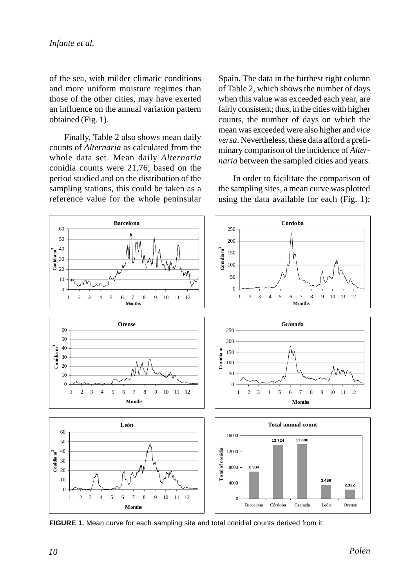of the sea, with milder climatic conditions and more uniform moisture regimes than those of the other cities, may have exerted an influence on the annual variation pattern obtained (Fig. 1).

Finally, Table 2 also shows mean daily counts of *Alternaria* as calculated from the whole data set. Mean daily *Alternaria* conidia counts were 21.76; based on the period studied and on the distribution of the sampling stations, this could be taken as a reference value for the whole peninsular Spain. The data in the furthest right column of Table 2, which shows the number of days when this value was exceeded each year, are fairly consistent; thus, in the cities with higher counts, the number of days on which the mean was exceeded were also higher and *vice versa*. Nevertheless, these data afford a preliminary comparison of the incidence of *Alternaria* between the sampled cities and years.

In order to facilitate the comparison of the sampling sites, a mean curve was plotted using the data available for each (Fig. 1);



**FIGURE 1.** Mean curve for each sampling site and total conidial counts derived from it.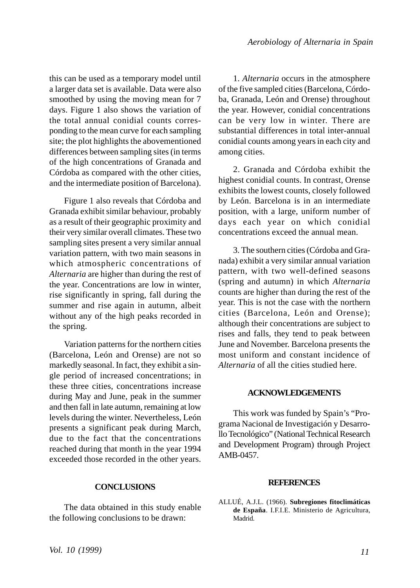this can be used as a temporary model until a larger data set is available. Data were also smoothed by using the moving mean for 7 days. Figure 1 also shows the variation of the total annual conidial counts corresponding to the mean curve for each sampling site; the plot highlights the abovementioned differences between sampling sites (in terms of the high concentrations of Granada and Córdoba as compared with the other cities, and the intermediate position of Barcelona).

Figure 1 also reveals that Córdoba and Granada exhibit similar behaviour, probably as a result of their geographic proximity and their very similar overall climates. These two sampling sites present a very similar annual variation pattern, with two main seasons in which atmospheric concentrations of *Alternaria* are higher than during the rest of the year. Concentrations are low in winter, rise significantly in spring, fall during the summer and rise again in autumn, albeit without any of the high peaks recorded in the spring.

Variation patterns for the northern cities (Barcelona, León and Orense) are not so markedly seasonal. In fact, they exhibit a single period of increased concentrations; in these three cities, concentrations increase during May and June, peak in the summer and then fall in late autumn, remaining at low levels during the winter. Nevertheless, León presents a significant peak during March, due to the fact that the concentrations reached during that month in the year 1994 exceeded those recorded in the other years.

#### **CONCLUSIONS**

The data obtained in this study enable the following conclusions to be drawn:

1. *Alternaria* occurs in the atmosphere of the five sampled cities (Barcelona, Córdoba, Granada, León and Orense) throughout the year. However, conidial concentrations can be very low in winter. There are substantial differences in total inter-annual conidial counts among years in each city and among cities.

2. Granada and Córdoba exhibit the highest conidial counts. In contrast, Orense exhibits the lowest counts, closely followed by León. Barcelona is in an intermediate position, with a large, uniform number of days each year on which conidial concentrations exceed the annual mean.

3. The southern cities (Córdoba and Granada) exhibit a very similar annual variation pattern, with two well-defined seasons (spring and autumn) in which *Alternaria* counts are higher than during the rest of the year. This is not the case with the northern cities (Barcelona, León and Orense); although their concentrations are subject to rises and falls, they tend to peak between June and November. Barcelona presents the most uniform and constant incidence of *Alternaria* of all the cities studied here.

#### **ACKNOWLEDGEMENTS**

This work was funded by Spain's "Programa Nacional de Investigación y Desarrollo Tecnológico" (National Technical Research and Development Program) through Project AMB-0457.

#### **REFERENCES**

ALLUÉ, A.J.L. (1966). **Subregiones fitoclimáticas de España**. I.F.I.E. Ministerio de Agricultura, Madrid.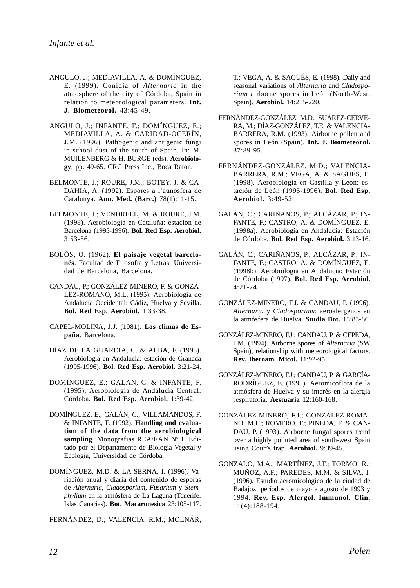- ANGULO, J.; MEDIAVILLA, A. & DOMÍNGUEZ, E. (1999). Conidia of *Alternaria* in the atmosphere of the city of Córdoba, Spain in relation to meteorological parameters. **Int. J. Biometeorol.** 43:45-49.
- ANGULO, J.; INFANTE, F.; DOMÍNGUEZ, E.; MEDIAVILLA, A. & CARIDAD-OCERÍN, J.M. (1996). Pathogenic and antigenic fungi in school dust of the south of Spain. In: M. MUILENBERG & H. BURGE (eds). **Aerobiology**, pp. 49-65. CRC Press Inc., Boca Raton.
- BELMONTE, J.; ROURE, J.M.; BOTEY, J. & CA-DAHIA, A. (1992). Espores a l'atmosfera de Catalunya. **Ann. Med. (Barc.)** 78(1):11-15.
- BELMONTE, J.; VENDRELL, M. & ROURE, J.M. (1998). Aerobiología en Cataluña: estación de Barcelona (1995-1996). **Bol. Red Esp. Aerobiol.** 3:53-56.
- BOLÓS, O. (1962). **El paisaje vegetal barcelonés**. Facultad de Filosofía y Letras. Universidad de Barcelona, Barcelona.
- CANDAU, P.; GONZÁLEZ-MINERO, F. & GONZÁ-LEZ-ROMANO, M.L. (1995). Aerobiología de Andalucía Occidental: Cádiz, Huelva y Sevilla. **Bol. Red Esp. Aerobiol.** 1:33-38.
- CAPEL-MOLINA, J.J. (1981). **Los climas de España**. Barcelona.
- DÍAZ DE LA GUARDIA, C. & ALBA, F. (1998). Aerobiología en Andalucía: estación de Granada (1995-1996). **Bol. Red Esp. Aerobiol.** 3:21-24.
- DOMÍNGUEZ, E.; GALÁN, C. & INFANTE, F. (1995). Aerobiología de Andalucía Central: Córdoba. **Bol. Red Esp. Aerobiol.** 1:39-42.
- DOMÍNGUEZ, E.; GALÁN, C.; VILLAMANDOS, F. & INFANTE, F. (1992). **Handling and evaluation of the data from the aerobiological sampling**. Monografias REA/EAN Nº 1. Editado por el Departamento de Biología Vegetal y Ecología, Universidad de Córdoba.
- DOMÍNGUEZ, M.D. & LA-SERNA, I. (1996). Variación anual y diaria del contenido de esporas de *Alternaria*, *Cladosporium*, *Fusarium* y *Stemphylium* en la atmósfera de La Laguna (Tenerife: Islas Canarias). **Bot. Macaronesica** 23:105-117.

FERNÁNDEZ, D.; VALENCIA, R.M.; MOLNÁR,

T.; VEGA, A. & SAGÜÉS, E. (1998). Daily and seasonal variations of *Alternaria* and *Cladosporium* airborne spores in León (North-West, Spain). **Aerobiol.** 14:215-220.

- FERNÁNDEZ-GONZÁLEZ, M.D.; SUÁREZ-CERVE-RA, M.; DÍAZ-GONZÁLEZ, T.E. & VALENCIA-BARRERA, R.M. (1993). Airborne pollen and spores in León (Spain). **Int. J. Biometeorol.** 37:89-95.
- FERNÁNDEZ-GONZÁLEZ, M.D.; VALENCIA-BARRERA, R.M.; VEGA, A. & SAGÜÉS, E. (1998). Aerobiología en Castilla y León: estación de León (1995-1996). **Bol. Red Esp. Aerobiol.** 3:49-52.
- GALÁN, C.; CARIÑANOS, P.; ALCÁZAR, P.; IN-FANTE, F.; CASTRO, A. & DOMÍNGUEZ, E. (1998a). Aerobiología en Andalucía: Estación de Córdoba. **Bol. Red Esp. Aerobiol.** 3:13-16.
- GALÁN, C.; CARIÑANOS, P.; ALCÁZAR, P.; IN-FANTE, F.; CASTRO, A. & DOMÍNGUEZ, E. (1998b). Aerobiología en Andalucía: Estación de Córdoba (1997). **Bol. Red Esp. Aerobiol.** 4:21-24.
- GONZÁLEZ-MINERO, F.J. & CANDAU, P. (1996). *Alternaria* y *Cladosporium*: aeroalérgenos en la atmósfera de Huelva. **Studia Bot.** 13:83-86.
- GONZÁLEZ-MINERO, F.J.; CANDAU, P. & CEPEDA, J.M. (1994). Airborne spores of *Alternaria* (SW Spain), relationship with meteorological factors. **Rev. Iberoam. Micol.** 11:92-95.
- GONZÁLEZ-MINERO, F.J.; CANDAU, P. & GARCÍA-RODRÍGUEZ, E. (1995). Aeromicoflora de la atmósfera de Huelva y su interés en la alergia respiratoria. **Aestuaria** 12:160-168.
- GONZÁLEZ-MINERO, F.J.; GONZÁLEZ-ROMA-NO, M.L.; ROMERO, F.; PINEDA, F. & CAN-DAU, P. (1993). Airborne fungal spores trend over a highly polluted area of south-west Spain using Cour's trap. **Aerobiol.** 9:39-45.
- GONZALO, M.A.; MARTÍNEZ, J.F.; TORMO, R.; MUÑOZ, A.F.; PAREDES, M.M. & SILVA, I. (1996). Estudio aeromicológico de la ciudad de Badajoz: períodos de mayo a agosto de 1993 y 1994. **Rev. Esp. Alergol. Immunol. Clin.** 11(4):188-194.